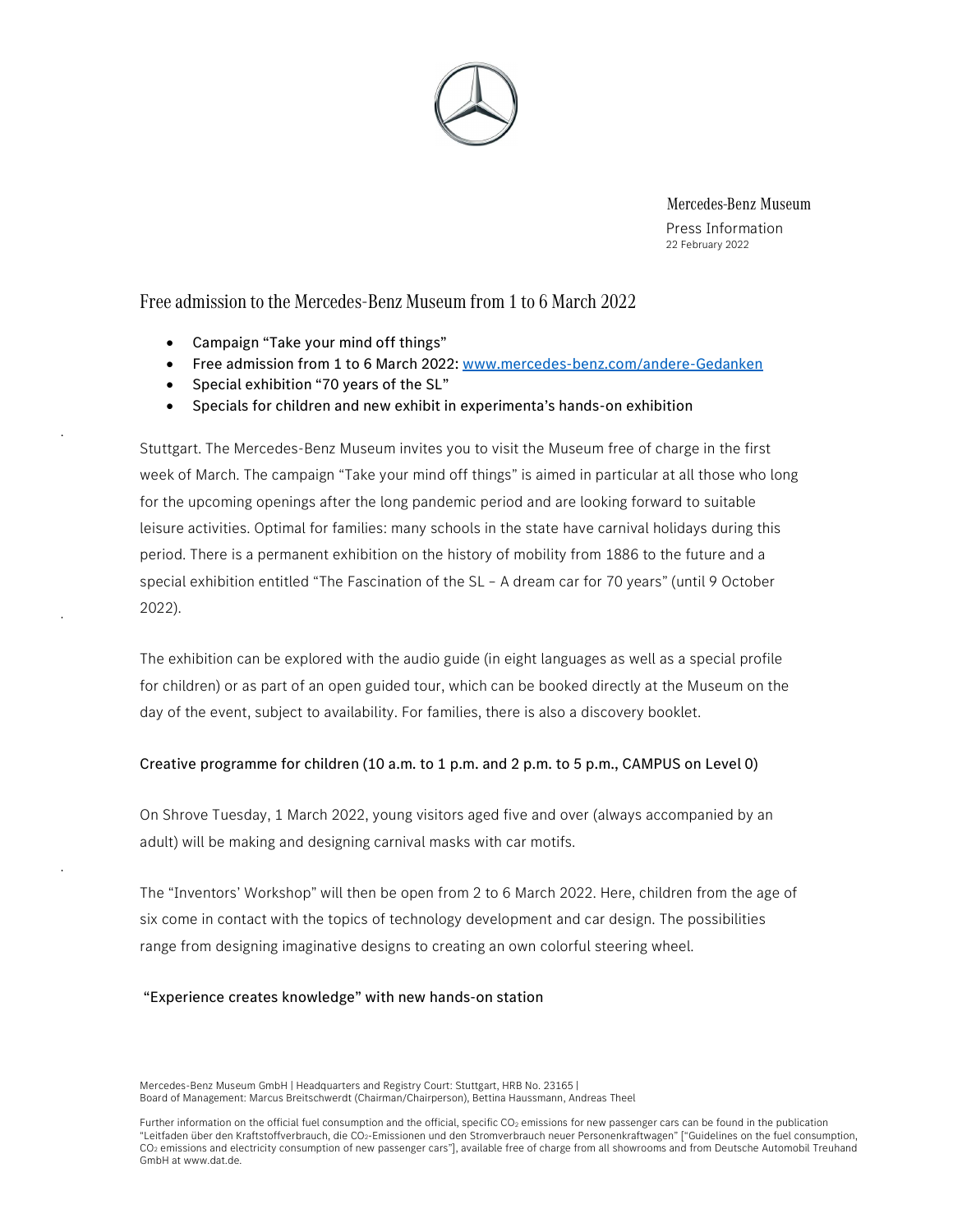

Mercedes-Benz Museum Press Information 22 February 2022

Free admission to the Mercedes-Benz Museum from 1 to 6 March 2022

- Campaign "Take your mind off things"
- Free admission from 1 to 6 March 2022: www.mercedes-benz.com/andere-Gedanken
- Special exhibition "70 years of the SL"
- Specials for children and new exhibit in experimenta's hands-on exhibition

Stuttgart. The Mercedes-Benz Museum invites you to visit the Museum free of charge in the first week of March. The campaign "Take your mind off things" is aimed in particular at all those who long for the upcoming openings after the long pandemic period and are looking forward to suitable leisure activities. Optimal for families: many schools in the state have carnival holidays during this period. There is a permanent exhibition on the history of mobility from 1886 to the future and a special exhibition entitled "The Fascination of the SL – A dream car for 70 years" (until 9 October 2022).

The exhibition can be explored with the audio guide (in eight languages as well as a special profile for children) or as part of an open guided tour, which can be booked directly at the Museum on the day of the event, subject to availability. For families, there is also a discovery booklet.

### Creative programme for children (10 a.m. to 1 p.m. and 2 p.m. to 5 p.m., CAMPUS on Level 0)

On Shrove Tuesday, 1 March 2022, young visitors aged five and over (always accompanied by an adult) will be making and designing carnival masks with car motifs.

The "Inventors' Workshop" will then be open from 2 to 6 March 2022. Here, children from the age of six come in contact with the topics of technology development and car design. The possibilities range from designing imaginative designs to creating an own colorful steering wheel.

### "Experience creates knowledge" with new hands-on station

Mercedes-Benz Museum GmbH | Headquarters and Registry Court: Stuttgart, HRB No. 23165 | Board of Management: Marcus Breitschwerdt (Chairman/Chairperson), Bettina Haussmann, Andreas Theel

Further information on the official fuel consumption and the official, specific CO<sub>2</sub> emissions for new passenger cars can be found in the publication "Leitfaden über den Kraftstoffverbrauch, die CO2-Emissionen und den Stromverbrauch neuer Personenkraftwagen" ["Guidelines on the fuel consumption, CO2 emissions and electricity consumption of new passenger cars"], available free of charge from all showrooms and from Deutsche Automobil Treuhand GmbH at www.dat.de.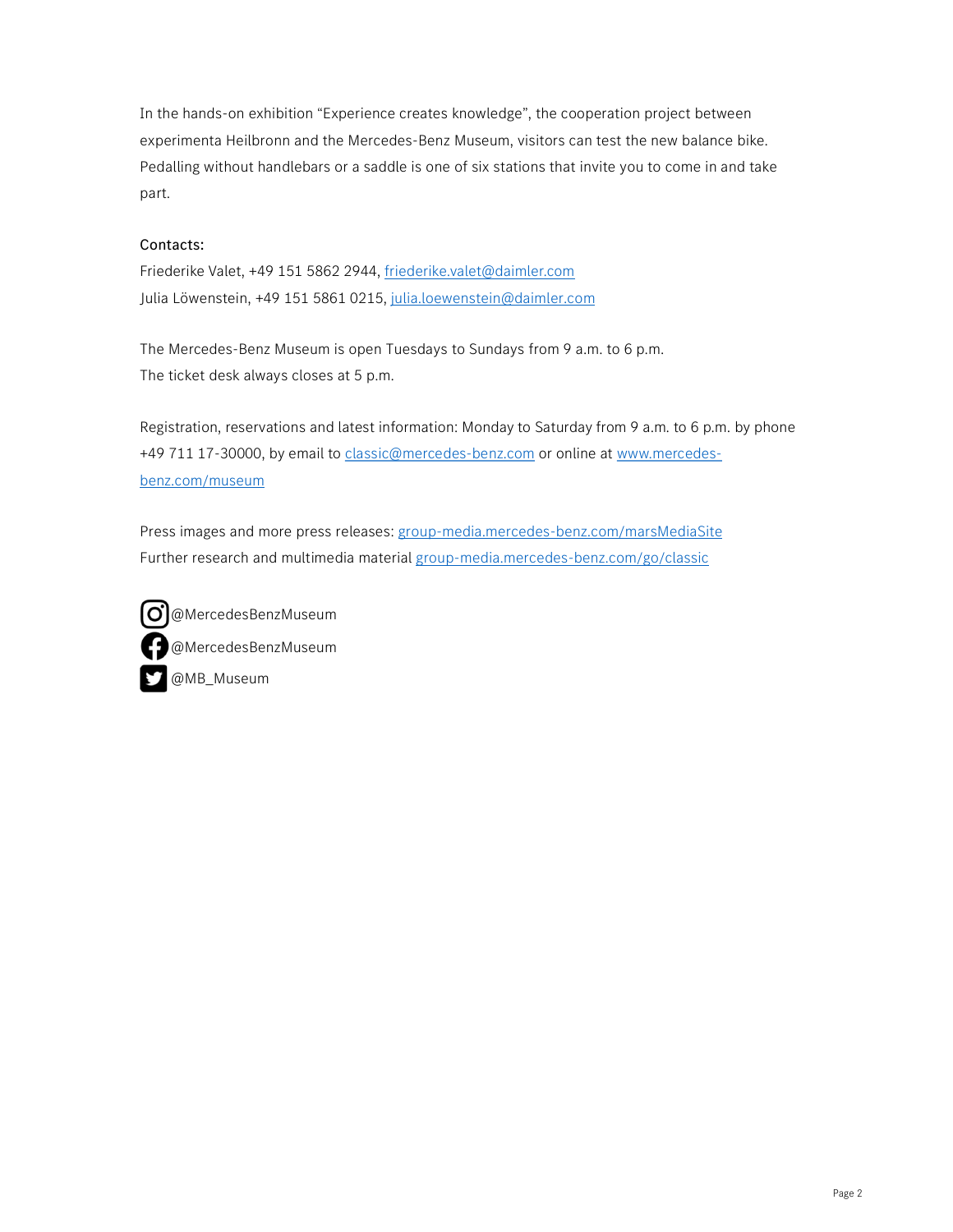In the hands-on exhibition "Experience creates knowledge", the cooperation project between experimenta Heilbronn and the Mercedes-Benz Museum, visitors can test the new balance bike. Pedalling without handlebars or a saddle is one of six stations that invite you to come in and take part.

# Contacts:

Friederike Valet, +49 151 5862 2944, friederike.valet@daimler.com Julia Löwenstein, +49 151 5861 0215, julia.loewenstein@daimler.com

The Mercedes-Benz Museum is open Tuesdays to Sundays from 9 a.m. to 6 p.m. The ticket desk always closes at 5 p.m.

Registration, reservations and latest information: Monday to Saturday from 9 a.m. to 6 p.m. by phone +49 711 17-30000, by email to classic@mercedes-benz.com or online at www.mercedesbenz.com/museum

Press images and more press releases: group-media.mercedes-benz.com/marsMediaSite Further research and multimedia material group-media.mercedes-benz.com/go/classic